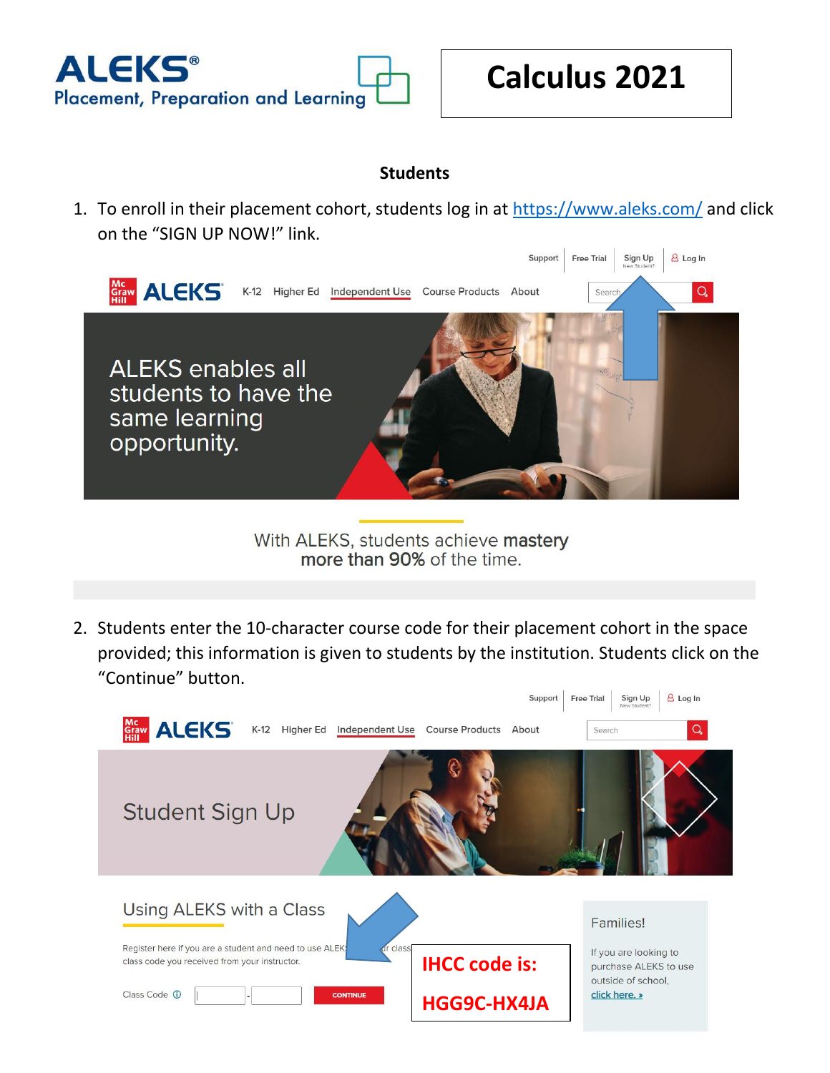

## **Students**

1. To enroll in their placement cohort, students log in at<https://www.aleks.com/> and click on the "SIGN UP NOW!" link.



With ALEKS, students achieve mastery more than 90% of the time.

2. Students enter the 10-character course code for their placement cohort in the space provided; this information is given to students by the institution. Students click on the "Continue" button.